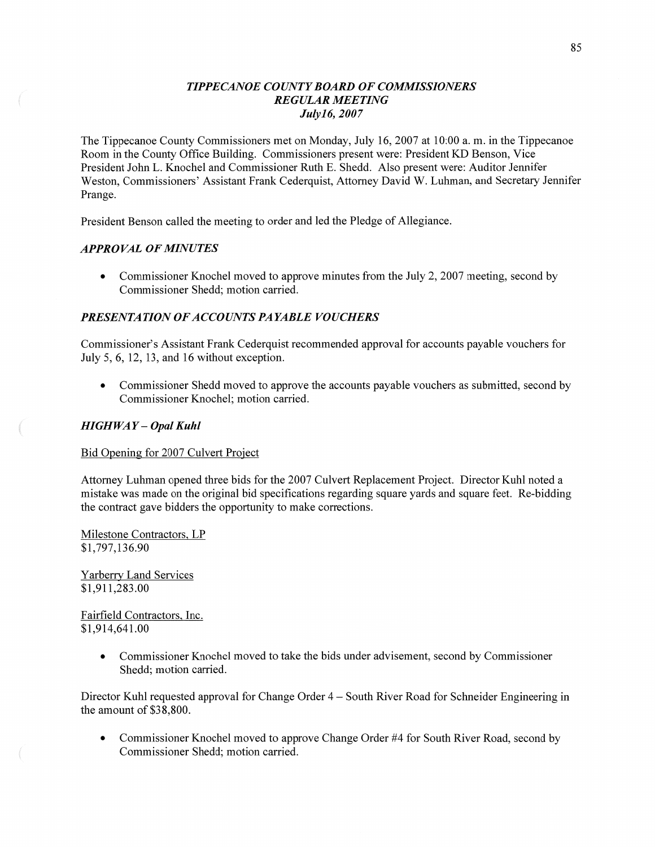# *TIPPECANOE COUNTYBOARD* OF *COMMISSIONERS REGULAR MEETING Julyl* 6, *2007*

The Tippecanoe County Commissioners met on Monday, July 16, 2007 at 10:00 a. m. in the Tippecanoe Room in the County Office Building. Commissioners present were: President KD Benson, Vice President John L. Knochel and Commissioner Ruth E. Shedd. Also present were: Auditor Jennifer Weston, Commissioners' Assistant Frank Cederquist, Attorney David W. Luhman, and Secretary Jennifer Prange.

President Benson called the meeting to order and led the Pledge of Allegiance.

## *APPROVAL* OF *MINUTES*

• Commissioner Knochel moved to approve minutes from the July 2, 2007 meeting, second by Commissioner Shedd; motion carried.

# *PRESENTATION* OF *ACCOUNTS PAYABLE VOUCHERS*

Commissioner's Assistant Frank Cederquist recommended approval for accounts payable vouchers for July 5, 6, 12, 13, and 16 Without exception.

**0** Commissioner Shedd moved to approve the accounts payable vouchers as submitted, second by Commissioner Knochel; motion carried.

## *HIGHWAY* — *Opal Kuhl*

Bid Opening for 2007 Culvert Project

Attorney Luhman opened three bids for the 2007 Culvert Replacement Project. Director Kuhl noted a mistake was made on the original bid specifications regarding square yards and square feet. Re-bidding the contract gave bidders the opportunity to make corrections.

Milestone Contractors, LP \$1,797,136.90

Yarberry Land Services \$1,911,283.00

Fairfield Contractors, Inc. \$1,914,641.00

> • Commissioner Knochel moved to take the bids under advisement, second by Commissioner Shedd; motion carried.

Director Kuhl requested approval for Change Order 4 **—** South River Road for Schneider Engineering in the amount of \$38,800.

• Commissioner Knochel moved to approve Change Order #4 for South River Road, second by Commissioner Shedd; motion carried.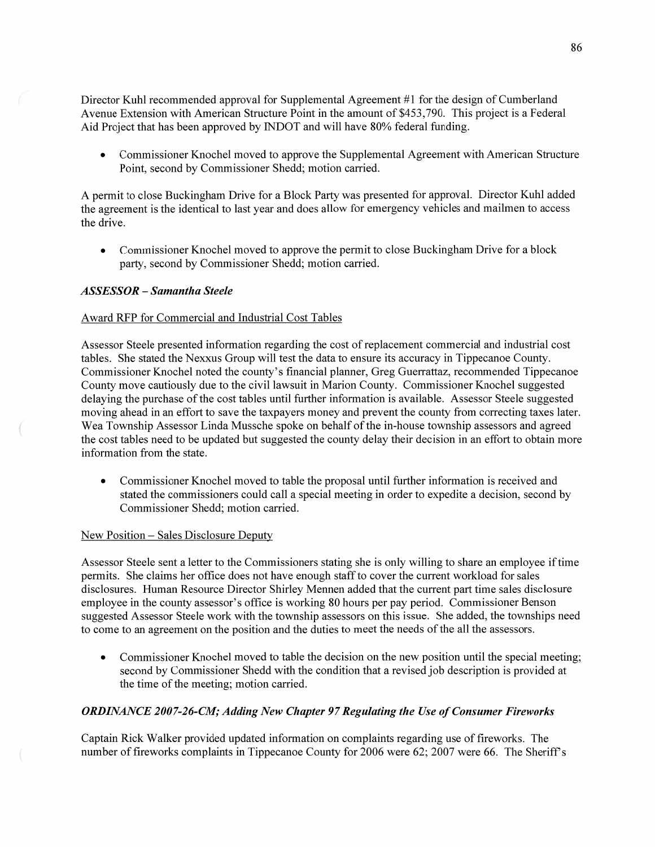Director Kuhl recommended approval for Supplemental Agreement #1 for the design of Cumberland Avenue Extension with American Structure Point in the amount of \$453,790. This project is a Federal Aid Project **that** has been approved by INDOT and will **have** 80% federal funding.

**0** Commissioner Knochel moved to approve the Supplemental Agreement with American Structure Point, second by Commissioner Shedd; motion carried.

**A** permit to close Buckingham Drive for **a** Block Party was presented for approval. Director Kuhl added the agreement is the identical to last year and does allow for emergency vehicles and **mailmen** to access the drive.

**0** Commissioner Knochel moved to approve the permit to close Buckingham Drive for a block party, second by Commissioner Shedd; motion carried.

## *ASSESSOR* — *Samantha Steele*

## Award RFP for Commercial and Industrial Cost Tables

Assessor Steele presented information regarding the cost of replacement commercial and industrial cost tables. She stated the Nexxus Group will test the **data** to ensure its accuracy in Tippecanoe County. Commissioner Knochel noted the county's financial planner, Greg Guerrattaz, recommended Tippecanoe County move cautiously due to the civil lawsuit in Marion County. Commissioner Knochel suggested delaying the purchase of the cost tables until further information is available. Assessor Steele suggested moving ahead in an effort to save the taxpayers money and prevent the county from correcting taxes later. Wea Township Assessor Linda Mussche spoke on behalf of the in—house township assessors and agreed the cost tables need to be updated but suggested the county delay their decision in an effort to obtain more information from the state.

• Commissioner Knochel moved to table the proposal until further information is received and stated the commissioners could call a special meeting in order to expedite **a** decision, second by Commissioner Shedd; motion carried.

## New Position — Sales Disclosure Deputy

Assessor Steele sent a letter to the Commissioners stating she is only Willing to share an employee if time **permits.** She claims her office does not have enough staff to cover the current workload for sales disclosures. Human Resource Director Shirley Mennen added that the current part time sales disclosure employee in the county assessor's office is working 80 hours per pay period. Commissioner Benson suggested Assessor Steele work with the township assessors on this issue. She added, the townships need to come to an agreement on the position and the duties to meet the needs of the all the assessors.

• Commissioner Knochel moved to table the decision on the new position until the special meeting; second by Commissioner Shedd with the condition that a revised job description is provided at the time of the meeting; motion carried.

# *ORDINANCE* 200 *7-26-CZM; Adding* New *Chapter* 97 *Regulating* the Use of *Consumer Fireworks*

Captain Rick Walker provided updated information on complaints regarding use of fireworks. The number of fireworks complaints in Tippecanoe County for 2006 were 62; 2007 were 66. The Sheriff's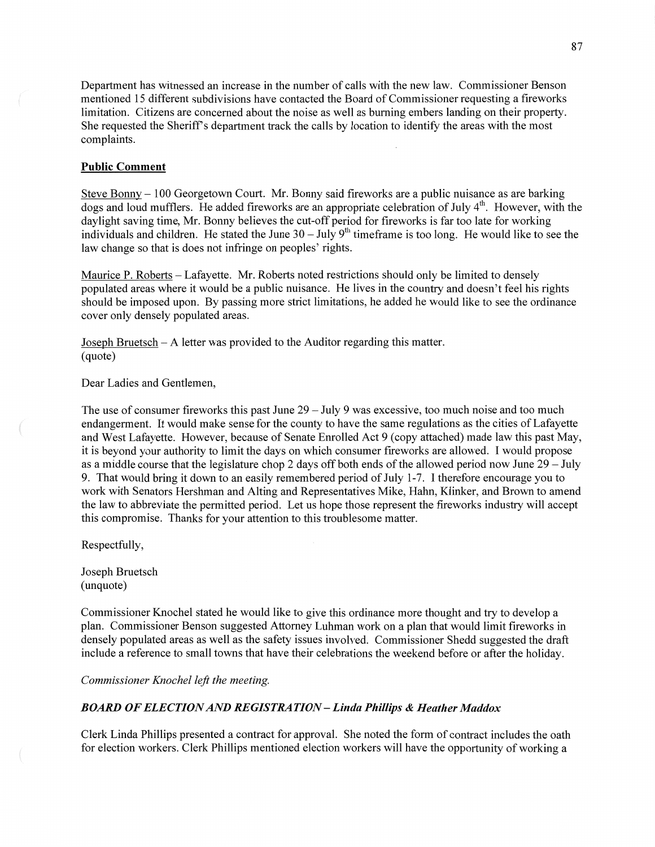Department has witnessed an increase in the number of calls with the new law. Commissioner Benson mentioned 15 different subdivisions **have** contacted the Board of Commissioner requesting **a** fireworks limitation. Citizens are concerned about the noise as well as burning embers landing on their property. She requested the Sheriff's department track the calls by location to identify the areas with the most complaints.

#### **Public Comment**

Steve Bonny **—** 100 Georgetown Court. Mr. Bonny said fireworks are a public nuisance as are barking dogs and loud mufflers. He added fireworks are an appropriate celebration of July 4<sup>th</sup>. However, with the daylight saving time, Mr. Bonny believes the cut-off period for fireworks is far too late for working individuals and children. He stated the June 30 – July 9<sup>th</sup> timeframe is too long. He would like to see the law change so that is does not infringe on peoples' rights.

Maurice P. Roberts - Lafayette. Mr. Roberts noted restrictions should only be limited to densely populated areas **where** it would be **a** public nuisance. He lives in the country and doesn't feel his rights should be imposed upon. By passing more strict limitations, he added he would like to see the ordinance cover only densely populated areas.

Joseph Bruetsch — **A** letter was provided to the Auditor regarding this matter. (quote)

Dear Ladies and Gentlemen,

The use of consumer fireworks **this** past June 29 **—** July 9 was excessive, too much noise and too much endangerment. It would make sense for the county to have the same regulations as the cities of Lafayette and West Lafayette. However, because of Senate Enrolled Act 9 (copy attached) made law this past May, it is beyond your authority to limit the days on which consumer fireworks are allowed. **I** would propose as a middle course that the legislature chop 2 days off both ends of the allowed period now June 29 — July 9. That would bring it down to an easily remembered period of July 1-7. **I** therefore encourage you to work with Senators Hershman and Alting and Representatives Mike, Hahn, Klinker, and Brown to **amend**  the law to abbreviate the permitted period. Let us hope those represent the fireworks industry will accept this compromise. Thanks for your attention to this troublesome matter.

Respectfully,

 $\left($ 

Joseph Bruetsch (unquote)

Commissioner Knochel stated he would like to give **this** ordinance more thought and try to develop a plan. Commissioner Benson suggested Attorney Luhman work on **a** plan that would limit fireworks in densely populated areas as well as the safety issues involved. Commissioner Shedd suggested the draft include a reference to small towns that have **their** celebrations the weekend before or after the holiday.

*Commissioner Knochel left the meeting.* 

#### *BOARD* OF *ELECTION* AND RE *GIST* RA TI 0N **—** *Linda Phillips & Heather Maddox*

Clerk Linda Phillips presented a contract for approval. She noted the form of contract includes the oath for election workers. Clerk Phillips mentioned election workers will have the opportunity of working a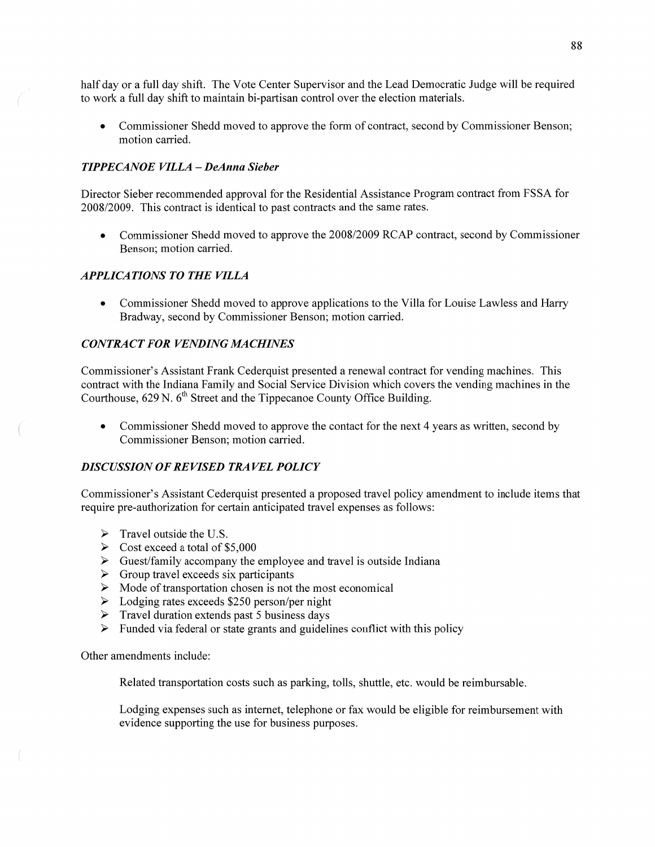half day or a full day shift. The Vote Center Supervisor and the Lead Democratic Judge will be required to work a full day shift to maintain bi-partisan control over the election materials.

**0** Commissioner Shedd moved to approve the form of contract, second by Commissioner Benson; motion carried.

# *TIPPECANOE VILLA — DeAnna Sieber*

Director Sieber recommended approval for the Residential Assistance Program contract from FSSA for 2008/2009. This contract is identical to past contracts and the same rates.

**0** Commissioner Shedd **moved** to approve the 2008/2009 RCAP contract, second by Commissioner Benson; motion carried.

## *APPLICATIONS TO THE VILLA*

**0** Commissioner Shedd moved to approve applications to the Villa for Louise Lawless and Harry Bradway, second by Commissioner Benson; motion carried.

# **CONTRACT FOR VENDING MACHINES**

Commissioner's Assistant Frank Cederquist presented a renewal contract for vending machines. This contract with the **Indiana** Family and Social Service Division which covers the vending machines in the Courthouse,  $629$  N.  $6<sup>th</sup>$  Street and the Tippecanoe County Office Building.

**0** Commissioner Shedd moved to approve the contact for the next 4 years as written, second by Commissioner Benson; motion carried.

## **DISCUSSION OF REVISED TRAVEL POLICY**

Commissioner's Assistant Cederquist presented **a** proposed travel policy amendment to include items that require pre-authorization for certain anticipated travel expenses as follows:

- $\triangleright$  Travel outside the U.S.
- $\triangleright$  Cost exceed a total of \$5,000
- Guest/family accompany the employee and **travel** is outside Indiana VVVVVVVV
- $\triangleright$  Group travel exceeds six participants
- $\triangleright$  Mode of transportation chosen is not the most economical
- $\triangleright$  Lodging rates exceeds \$250 person/per night
- $\triangleright$  Travel duration extends past 5 business days
- $\triangleright$  Funded via federal or state grants and guidelines conflict with this policy

Other amendments include:

Related transportation costs such as parking, tolls, shuttle, etc. would be reimbursable.

Lodging expenses such as internet, telephone or fax would be eligible for reimbursement with evidence supporting the use for business purposes.